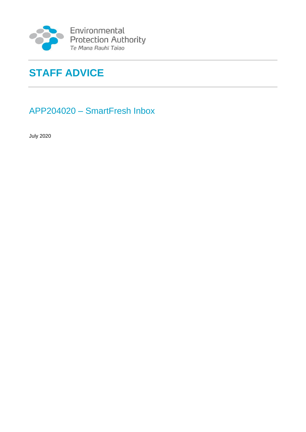

Environmental<br>Protection Authority<br>Te Mana Rauhī Taiao

# **STAFF ADVICE**

## APP204020 – SmartFresh Inbox

July 2020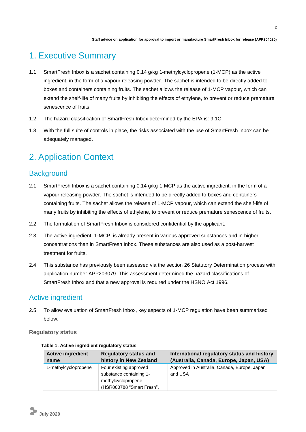## 1. Executive Summary

- 1.1 SmartFresh Inbox is a sachet containing 0.14 g/kg 1-methylcyclopropene (1-MCP) as the active ingredient, in the form of a vapour releasing powder. The sachet is intended to be directly added to boxes and containers containing fruits. The sachet allows the release of 1-MCP vapour, which can extend the shelf-life of many fruits by inhibiting the effects of ethylene, to prevent or reduce premature senescence of fruits.
- 1.2 The hazard classification of SmartFresh Inbox determined by the EPA is: 9.1C.
- 1.3 With the full suite of controls in place, the risks associated with the use of SmartFresh Inbox can be adequately managed.

## 2. Application Context

## **Background**

- 2.1 SmartFresh Inbox is a sachet containing 0.14 g/kg 1-MCP as the active ingredient, in the form of a vapour releasing powder. The sachet is intended to be directly added to boxes and containers containing fruits. The sachet allows the release of 1-MCP vapour, which can extend the shelf-life of many fruits by inhibiting the effects of ethylene, to prevent or reduce premature senescence of fruits.
- 2.2 The formulation of SmartFresh Inbox is considered confidential by the applicant.
- 2.3 The active ingredient, 1-MCP, is already present in various approved substances and in higher concentrations than in SmartFresh Inbox. These substances are also used as a post-harvest treatment for fruits.
- 2.4 This substance has previously been assessed via the section 26 Statutory Determination process with application number APP203079. This assessment determined the hazard classifications of SmartFresh Inbox and that a new approval is required under the HSNO Act 1996.

### Active ingredient

2.5 To allow evaluation of SmartFresh Inbox, key aspects of 1-MCP regulation have been summarised below.

**Regulatory status**

| <b>Active ingredient</b> | <b>Regulatory status and</b>                                                                         | International regulatory status and history             |
|--------------------------|------------------------------------------------------------------------------------------------------|---------------------------------------------------------|
| name                     | history in New Zealand                                                                               | (Australia, Canada, Europe, Japan, USA)                 |
| 1-methylcyclopropene     | Four existing approved<br>substance containing 1-<br>methylcyclopropene<br>(HSR000788 "Smart Fresh", | Approved in Australia, Canada, Europe, Japan<br>and USA |

#### **Table 1: Active ingredient regulatory status**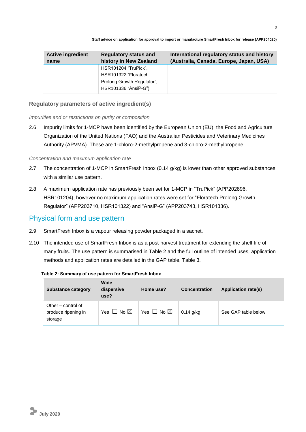| <b>Active ingredient</b> | <b>Regulatory status and</b>                                                                       | International regulatory status and history |
|--------------------------|----------------------------------------------------------------------------------------------------|---------------------------------------------|
| name                     | history in New Zealand                                                                             | (Australia, Canada, Europe, Japan, USA)     |
|                          | HSR101204 "TruPick",<br>HSR101322 "Floratech<br>Prolong Growth Regulator",<br>HSR101336 "AnsiP-G") |                                             |

#### **Regulatory parameters of active ingredient(s)**

*Impurities and or restrictions on purity or composition*

2.6 Impurity limits for 1-MCP have been identified by the European Union (EU), the Food and Agriculture Organization of the United Nations (FAO) and the Australian Pesticides and Veterinary Medicines Authority (APVMA). These are 1-chloro-2-methylpropene and 3-chloro-2-methylpropene.

#### *Concentration and maximum application rate*

- 2.7 The concentration of 1-MCP in SmartFresh Inbox (0.14 g/kg) is lower than other approved substances with a similar use pattern.
- 2.8 A maximum application rate has previously been set for 1-MCP in "TruPick" (APP202896, HSR101204), however no maximum application rates were set for "Floratech Prolong Growth Regulator" (APP203710, HSR101322) and "AnsiP-G" (APP203743, HSR101336).

### Physical form and use pattern

- 2.9 SmartFresh Inbox is a vapour releasing powder packaged in a sachet.
- 2.10 The intended use of SmartFresh Inbox is as a post-harvest treatment for extending the shelf-life of many fruits. The use pattern is summarised in Table 2 and the full outline of intended uses, application methods and application rates are detailed in the GAP table, Table 3.

#### **Table 2: Summary of use pattern for SmartFresh Inbox**

| <b>Substance category</b>                            | <b>Wide</b><br>dispersive<br>use? | Home use?                 | <b>Concentration</b> | <b>Application rate(s)</b> |  |  |  |
|------------------------------------------------------|-----------------------------------|---------------------------|----------------------|----------------------------|--|--|--|
| Other – control of<br>produce ripening in<br>storage | Yes $\Box$ No $\boxtimes$         | Yes $\Box$ No $\boxtimes$ | $0.14$ g/kg          | See GAP table below        |  |  |  |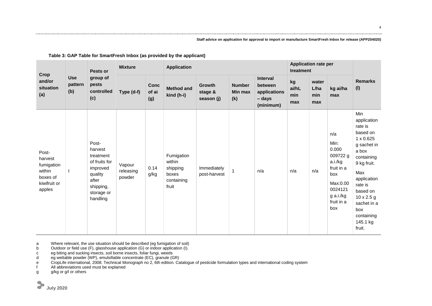| Crop                                                                           | <b>Use</b><br>pattern<br>(b) | Pests or<br>group of<br>pests<br>controlled<br>(c)                                                                    | <b>Mixture</b>                |                             | <b>Application</b>                                               |                                        |                                 |                                                                   | <b>Application rate per</b><br>treatment |                             |                                                                                                                           |                                                                                                                                                                                                                                         |
|--------------------------------------------------------------------------------|------------------------------|-----------------------------------------------------------------------------------------------------------------------|-------------------------------|-----------------------------|------------------------------------------------------------------|----------------------------------------|---------------------------------|-------------------------------------------------------------------|------------------------------------------|-----------------------------|---------------------------------------------------------------------------------------------------------------------------|-----------------------------------------------------------------------------------------------------------------------------------------------------------------------------------------------------------------------------------------|
| and/or<br>situation<br>(a)                                                     |                              |                                                                                                                       | Type (d-f)                    | <b>Conc</b><br>of ai<br>(g) | <b>Method and</b><br>kind (h-i)                                  | <b>Growth</b><br>stage &<br>season (j) | <b>Number</b><br>Min max<br>(k) | <b>Interval</b><br>between<br>applications<br>- days<br>(minimum) | kg<br>ai/hL<br>min<br>max                | water<br>L/ha<br>min<br>max | kg ai/ha<br>max                                                                                                           | <b>Remarks</b><br>(1)                                                                                                                                                                                                                   |
| Post-<br>harvest<br>fumigation<br>within<br>boxes of<br>kiwifruit or<br>apples |                              | Post-<br>harvest<br>treatment<br>of fruits for<br>improved<br>quality<br>after<br>shipping,<br>storage or<br>handling | Vapour<br>releasing<br>powder | 0.14<br>g/kg                | Fumigation<br>within<br>shipping<br>boxes<br>containing<br>fruit | Immediately<br>post-harvest            |                                 | n/a                                                               | n/a                                      | n/a                         | n/a<br>Min:<br>0.000<br>009722 g<br>a.i./kg<br>fruit in a<br>box<br>Max:0.00<br>0024121<br>g a.i./kg<br>fruit in a<br>box | Min<br>application<br>rate is<br>based on<br>1 x 0.625<br>g sachet in<br>a box<br>containing<br>9 kg fruit.<br>Max<br>application<br>rate is<br>based on<br>$10 \times 2.5$ g<br>sachet in a<br>box<br>containing<br>145.1 kg<br>fruit. |

**Table 3: GAP Table for SmartFresh Inbox (as provided by the applicant)**

a Where relevant, the use situation should be described (eg fumigation of soil)<br>b Outdoor or field use (F), glasshouse application (G) or indoor application (I).

b Outdoor or field use (F), glasshouse application (G) or indoor application (I).

c eg biting and sucking insects, soil borne insects, foliar fungi, weeds

d eg wettable powder (WP), emulsifiable concentrate (EC), granule (GR)

e CropLife international, 2008. Technical Monograph no 2, 6th edition. Catalogue of pesticide formulation types and international coding system

f All abbreviations used must be explained

g g/kg or g/l or others

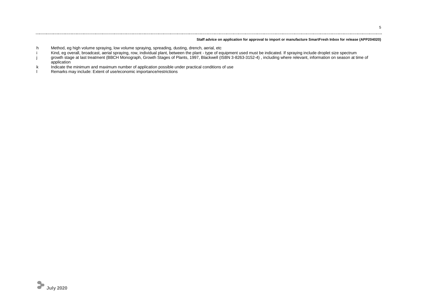- h Method, eg high volume spraying, low volume spraying, spreading, dusting, drench, aerial, etc
- i Kind, eg overall, broadcast, aerial spraying, row, individual plant, between the plant type of equipment used must be indicated. If spraying include droplet size spectrum
- j growth stage at last treatment (BBCH Monograph, Growth Stages of Plants, 1997, Blackwell (ISBN 3-8263-3152-4) , including where relevant, information on season at time of application
- k Indicate the minimum and maximum number of application possible under practical conditions of use
- l Remarks may include: Extent of use/economic importance/restrictions

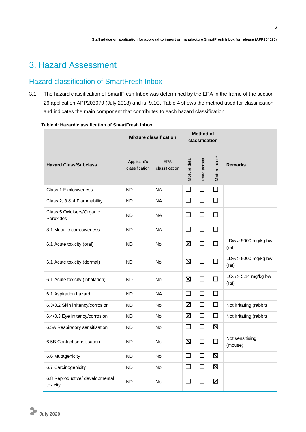## 3. Hazard Assessment

## Hazard classification of SmartFresh Inbox

3.1 The hazard classification of SmartFresh Inbox was determined by the EPA in the frame of the section 26 application APP203079 (July 2018) and is: 9.1C. Table 4 shows the method used for classification and indicates the main component that contributes to each hazard classification.

|                                             | <b>Mixture classification</b> |                              | <b>Method of</b><br>classification |              |                            |                                    |
|---------------------------------------------|-------------------------------|------------------------------|------------------------------------|--------------|----------------------------|------------------------------------|
| <b>Hazard Class/Subclass</b>                | Applicant's<br>classification | <b>EPA</b><br>classification | Mixture data                       | Read across  | Mixture rules <sup>1</sup> | <b>Remarks</b>                     |
| Class 1 Explosiveness                       | <b>ND</b>                     | <b>NA</b>                    | П                                  | $\Box$       | $\Box$                     |                                    |
| Class 2, 3 & 4 Flammability                 | <b>ND</b>                     | <b>NA</b>                    | □                                  | $\Box$       | $\Box$                     |                                    |
| Class 5 Oxidisers/Organic<br>Peroxides      | <b>ND</b>                     | <b>NA</b>                    | $\Box$                             | $\Box$       | $\Box$                     |                                    |
| 8.1 Metallic corrosiveness                  | <b>ND</b>                     | <b>NA</b>                    | $\Box$                             | $\Box$       | $\Box$                     |                                    |
| 6.1 Acute toxicity (oral)                   | <b>ND</b>                     | No                           | ⊠                                  | $\Box$       | П                          | $LD_{50}$ > 5000 mg/kg bw<br>(rat) |
| 6.1 Acute toxicity (dermal)                 | <b>ND</b>                     | <b>No</b>                    | 区                                  | $\Box$       | П                          | $LD_{50}$ > 5000 mg/kg bw<br>(rat) |
| 6.1 Acute toxicity (inhalation)             | <b>ND</b>                     | <b>No</b>                    | 区                                  | $\Box$       | П                          | $LC_{50}$ > 5.14 mg/kg bw<br>(rat) |
| 6.1 Aspiration hazard                       | <b>ND</b>                     | <b>NA</b>                    | $\Box$                             | $\Box$       | $\Box$                     |                                    |
| 6.3/8.2 Skin irritancy/corrosion            | <b>ND</b>                     | <b>No</b>                    | ⊠                                  | $\Box$       | $\Box$                     | Not irritating (rabbit)            |
| 6.4/8.3 Eye irritancy/corrosion             | <b>ND</b>                     | <b>No</b>                    | ⊠                                  | $\Box$       | $\Box$                     | Not irritating (rabbit)            |
| 6.5A Respiratory sensitisation              | <b>ND</b>                     | <b>No</b>                    | □                                  | $\Box$       | $\boxtimes$                |                                    |
| 6.5B Contact sensitisation                  | <b>ND</b>                     | <b>No</b>                    | ⊠                                  | $\Box$       | $\Box$                     | Not sensitising<br>(mouse)         |
| 6.6 Mutagenicity                            | <b>ND</b>                     | <b>No</b>                    | $\Box$                             | $\Box$       | $\boxtimes$                |                                    |
| 6.7 Carcinogenicity                         | <b>ND</b>                     | No                           | □                                  | $\Box$       | 区                          |                                    |
| 6.8 Reproductive/ developmental<br>toxicity | <b>ND</b>                     | No                           | $\Box$                             | $\mathsf{L}$ | ⊠                          |                                    |

#### **Table 4: Hazard classification of SmartFresh Inbox**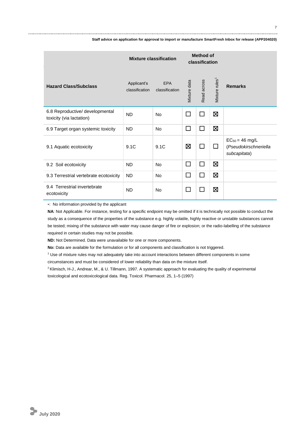|                                                             | <b>Mixture classification</b> |                              | <b>Method of</b><br>classification |             |                            |                                                              |
|-------------------------------------------------------------|-------------------------------|------------------------------|------------------------------------|-------------|----------------------------|--------------------------------------------------------------|
| <b>Hazard Class/Subclass</b>                                | Applicant's<br>classification | <b>EPA</b><br>classification | Mixture data                       | Read across | Mixture rules <sup>1</sup> | <b>Remarks</b>                                               |
| 6.8 Reproductive/ developmental<br>toxicity (via lactation) | <b>ND</b>                     | <b>No</b>                    | П                                  | П           | 区                          |                                                              |
| 6.9 Target organ systemic toxicity                          | <b>ND</b>                     | <b>No</b>                    | $\Box$                             | П           | $\boxtimes$                |                                                              |
| 9.1 Aquatic ecotoxicity                                     | 9.1C                          | 9.1C                         | ⊠                                  |             | $\Box$                     | $EC_{50} = 46$ mg/L<br>(Pseudokirschneriella<br>subcapitata) |
| 9.2 Soil ecotoxicity                                        | <b>ND</b>                     | <b>No</b>                    | П                                  | П           | 区                          |                                                              |
| 9.3 Terrestrial vertebrate ecotoxicity                      | <b>ND</b>                     | <b>No</b>                    | $\Box$                             | П           | 区                          |                                                              |
| 9.4 Terrestrial invertebrate<br>ecotoxicity                 | <b>ND</b>                     | <b>No</b>                    | L                                  |             | Σ                          |                                                              |

**-**: No information provided by the applicant

**NA**: Not Applicable. For instance, testing for a specific endpoint may be omitted if it is technically not possible to conduct the study as a consequence of the properties of the substance e.g. highly volatile, highly reactive or unstable substances cannot be tested; mixing of the substance with water may cause danger of fire or explosion; or the radio-labelling of the substance required in certain studies may not be possible.

**ND:** Not Determined. Data were unavailable for one or more components.

**No:** Data are available for the formulation or for all components and classification is not triggered.

<sup>1</sup> Use of mixture rules may not adequately take into account interactions between different components in some circumstances and must be considered of lower reliability than data on the mixture itself.

<sup>2</sup> Klimisch, H-J., Andrear, M., & U. Tillmann, 1997. A systematic approach for evaluating the quality of experimental toxicological and ecotoxicological data. Reg. Toxicol. Pharmacol. 25, 1–5 (1997)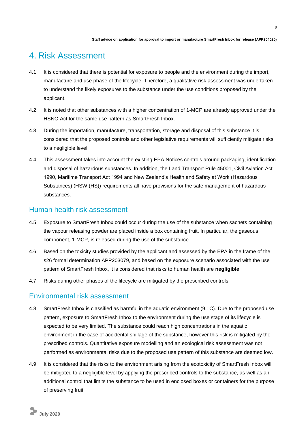## 4. Risk Assessment

- 4.1 It is considered that there is potential for exposure to people and the environment during the import, manufacture and use phase of the lifecycle. Therefore, a qualitative risk assessment was undertaken to understand the likely exposures to the substance under the use conditions proposed by the applicant.
- 4.2 It is noted that other substances with a higher concentration of 1-MCP are already approved under the HSNO Act for the same use pattern as SmartFresh Inbox.
- 4.3 During the importation, manufacture, transportation, storage and disposal of this substance it is considered that the proposed controls and other legislative requirements will sufficiently mitigate risks to a negligible level.
- 4.4 This assessment takes into account the existing EPA Notices controls around packaging, identification and disposal of hazardous substances. In addition, the Land Transport Rule 45001, Civil Aviation Act 1990, Maritime Transport Act 1994 and New Zealand's Health and Safety at Work (Hazardous Substances) (HSW (HS)) requirements all have provisions for the safe management of hazardous substances.

### Human health risk assessment

- 4.5 Exposure to SmartFresh Inbox could occur during the use of the substance when sachets containing the vapour releasing powder are placed inside a box containing fruit. In particular, the gaseous component, 1-MCP, is released during the use of the substance.
- 4.6 Based on the toxicity studies provided by the applicant and assessed by the EPA in the frame of the s26 formal determination APP203079, and based on the exposure scenario associated with the use pattern of SmartFresh Inbox, it is considered that risks to human health are **negligible**.
- 4.7 Risks during other phases of the lifecycle are mitigated by the prescribed controls.

### Environmental risk assessment

- 4.8 SmartFresh Inbox is classified as harmful in the aquatic environment (9.1C). Due to the proposed use pattern, exposure to SmartFresh Inbox to the environment during the use stage of its lifecycle is expected to be very limited. The substance could reach high concentrations in the aquatic environment in the case of accidental spillage of the substance, however this risk is mitigated by the prescribed controls. Quantitative exposure modelling and an ecological risk assessment was not performed as environmental risks due to the proposed use pattern of this substance are deemed low.
- 4.9 It is considered that the risks to the environment arising from the ecotoxicity of SmartFresh Inbox will be mitigated to a negligible level by applying the prescribed controls to the substance, as well as an additional control that limits the substance to be used in enclosed boxes or containers for the purpose of preserving fruit.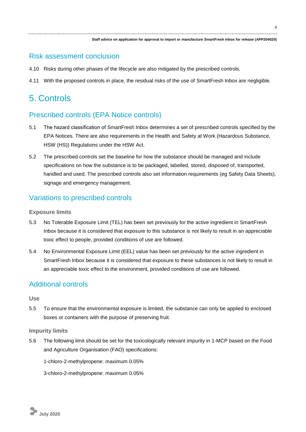### Risk assessment conclusion

- 4.10 Risks during other phases of the lifecycle are also mitigated by the prescribed controls.
- 4.11 With the proposed controls in place, the residual risks of the use of SmartFresh Inbox are negligible.

## 5. Controls

## Prescribed controls (EPA Notice controls)

- 5.1 The hazard classification of SmartFresh Inbox determines a set of prescribed controls specified by the EPA Notices. There are also requirements in the Health and Safety at Work (Hazardous Substance, HSW (HS)) Regulations under the HSW Act.
- 5.2 The prescribed controls set the baseline for how the substance should be managed and include specifications on how the substance is to be packaged, labelled, stored, disposed of, transported, handled and used. The prescribed controls also set information requirements (eg Safety Data Sheets), signage and emergency management.

### Variations to prescribed controls

#### **Exposure limits**

- 5.3 No Tolerable Exposure Limit (TEL) has been set previously for the active ingredient in SmartFresh Inbox because it is considered that exposure to this substance is not likely to result in an appreciable toxic effect to people, provided conditions of use are followed.
- 5.4 No Environmental Exposure Limit (EEL) value has been set previously for the active ingredient in SmartFresh Inbox because it is considered that exposure to these substances is not likely to result in an appreciable toxic effect to the environment, provided conditions of use are followed.

### Additional controls

#### **Use**

5.5 To ensure that the environmental exposure is limited, the substance can only be applied to enclosed boxes or containers with the purpose of preserving fruit.

#### **Impurity limits**

5.6 The following limit should be set for the toxicologically relevant impurity in 1-MCP based on the Food and Agriculture Organisation (FAO) specifications:

1-chloro-2-methylpropene: maximum 0.05%

3-chloro-2-methylpropene: maximum 0.05%